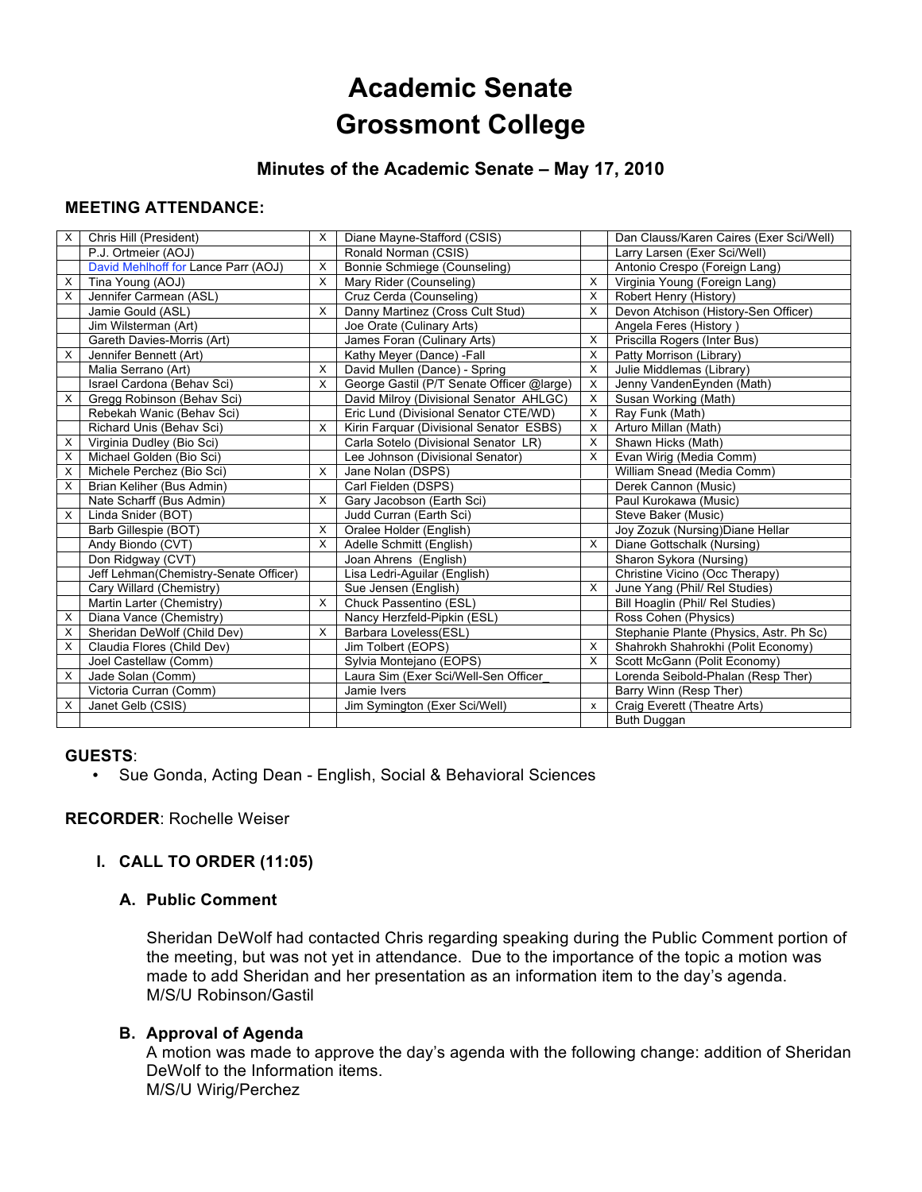# **Academic Senate Grossmont College**

## **Minutes of the Academic Senate – May 17, 2010**

## **MEETING ATTENDANCE:**

| X | Chris Hill (President)                | X        | Diane Mayne-Stafford (CSIS)               |                           | Dan Clauss/Karen Caires (Exer Sci/Well) |
|---|---------------------------------------|----------|-------------------------------------------|---------------------------|-----------------------------------------|
|   | P.J. Ortmeier (AOJ)                   |          | Ronald Norman (CSIS)                      |                           | Larry Larsen (Exer Sci/Well)            |
|   | David Mehlhoff for Lance Parr (AOJ)   | X        | Bonnie Schmiege (Counseling)              |                           | Antonio Crespo (Foreign Lang)           |
| х | Tina Young (AOJ)                      | X        | Mary Rider (Counseling)                   | X                         | Virginia Young (Foreign Lang)           |
| X | Jennifer Carmean (ASL)                |          | Cruz Cerda (Counseling)                   | X                         | Robert Henry (History)                  |
|   | Jamie Gould (ASL)                     | X        | Danny Martinez (Cross Cult Stud)          | X                         | Devon Atchison (History-Sen Officer)    |
|   | Jim Wilsterman (Art)                  |          | Joe Orate (Culinary Arts)                 |                           | Angela Feres (History)                  |
|   | Gareth Davies-Morris (Art)            |          | James Foran (Culinary Arts)               | X                         | Priscilla Rogers (Inter Bus)            |
| X | Jennifer Bennett (Art)                |          | Kathy Meyer (Dance) - Fall                | X                         | Patty Morrison (Library)                |
|   | Malia Serrano (Art)                   | X        | David Mullen (Dance) - Spring             | X                         | Julie Middlemas (Library)               |
|   | Israel Cardona (Behav Sci)            | X        | George Gastil (P/T Senate Officer @large) | х                         | Jenny VandenEynden (Math)               |
| X | Gregg Robinson (Behav Sci)            |          | David Milroy (Divisional Senator AHLGC)   | X                         | Susan Working (Math)                    |
|   | Rebekah Wanic (Behav Sci)             |          | Eric Lund (Divisional Senator CTE/WD)     | X                         | Ray Funk (Math)                         |
|   | Richard Unis (Behav Sci)              | X        | Kirin Farquar (Divisional Senator ESBS)   | х                         | Arturo Millan (Math)                    |
| X | Virginia Dudley (Bio Sci)             |          | Carla Sotelo (Divisional Senator LR)      | X                         | Shawn Hicks (Math)                      |
| X | Michael Golden (Bio Sci)              |          | Lee Johnson (Divisional Senator)          | X                         | Evan Wirig (Media Comm)                 |
| X | Michele Perchez (Bio Sci)             | X        | Jane Nolan (DSPS)                         |                           | William Snead (Media Comm)              |
| X | Brian Keliher (Bus Admin)             |          | Carl Fielden (DSPS)                       |                           | Derek Cannon (Music)                    |
|   | Nate Scharff (Bus Admin)              | X        | Gary Jacobson (Earth Sci)                 |                           | Paul Kurokawa (Music)                   |
| X | Linda Snider (BOT)                    |          | Judd Curran (Earth Sci)                   |                           | Steve Baker (Music)                     |
|   | Barb Gillespie (BOT)                  | X        | Oralee Holder (English)                   |                           | Joy Zozuk (Nursing) Diane Hellar        |
|   | Andy Biondo (CVT)                     | $\times$ | Adelle Schmitt (English)                  | X                         | Diane Gottschalk (Nursing)              |
|   | Don Ridgway (CVT)                     |          | Joan Ahrens (English)                     |                           | Sharon Sykora (Nursing)                 |
|   | Jeff Lehman(Chemistry-Senate Officer) |          | Lisa Ledri-Aguilar (English)              |                           | Christine Vicino (Occ Therapy)          |
|   | Cary Willard (Chemistry)              |          | Sue Jensen (English)                      | X                         | June Yang (Phil/ Rel Studies)           |
|   | Martin Larter (Chemistry)             | X        | Chuck Passentino (ESL)                    |                           | Bill Hoaglin (Phil/ Rel Studies)        |
| X | Diana Vance (Chemistry)               |          | Nancy Herzfeld-Pipkin (ESL)               |                           | Ross Cohen (Physics)                    |
| X | Sheridan DeWolf (Child Dev)           | $\times$ | Barbara Loveless(ESL)                     |                           | Stephanie Plante (Physics, Astr. Ph Sc) |
| X | Claudia Flores (Child Dev)            |          | Jim Tolbert (EOPS)                        | X                         | Shahrokh Shahrokhi (Polit Economy)      |
|   | Joel Castellaw (Comm)                 |          | Sylvia Montejano (EOPS)                   | X                         | Scott McGann (Polit Economy)            |
| X | Jade Solan (Comm)                     |          | Laura Sim (Exer Sci/Well-Sen Officer      |                           | Lorenda Seibold-Phalan (Resp Ther)      |
|   | Victoria Curran (Comm)                |          | Jamie Ivers                               |                           | Barry Winn (Resp Ther)                  |
| х | Janet Gelb (CSIS)                     |          | Jim Symington (Exer Sci/Well)             | $\boldsymbol{\mathsf{x}}$ | Craig Everett (Theatre Arts)            |
|   |                                       |          |                                           |                           | Buth Duggan                             |

#### **GUESTS**:

• Sue Gonda, Acting Dean - English, Social & Behavioral Sciences

#### **RECORDER**: Rochelle Weiser

## **I. CALL TO ORDER (11:05)**

#### **A. Public Comment**

Sheridan DeWolf had contacted Chris regarding speaking during the Public Comment portion of the meeting, but was not yet in attendance. Due to the importance of the topic a motion was made to add Sheridan and her presentation as an information item to the day's agenda. M/S/U Robinson/Gastil

#### **B. Approval of Agenda**

A motion was made to approve the day's agenda with the following change: addition of Sheridan DeWolf to the Information items. M/S/U Wirig/Perchez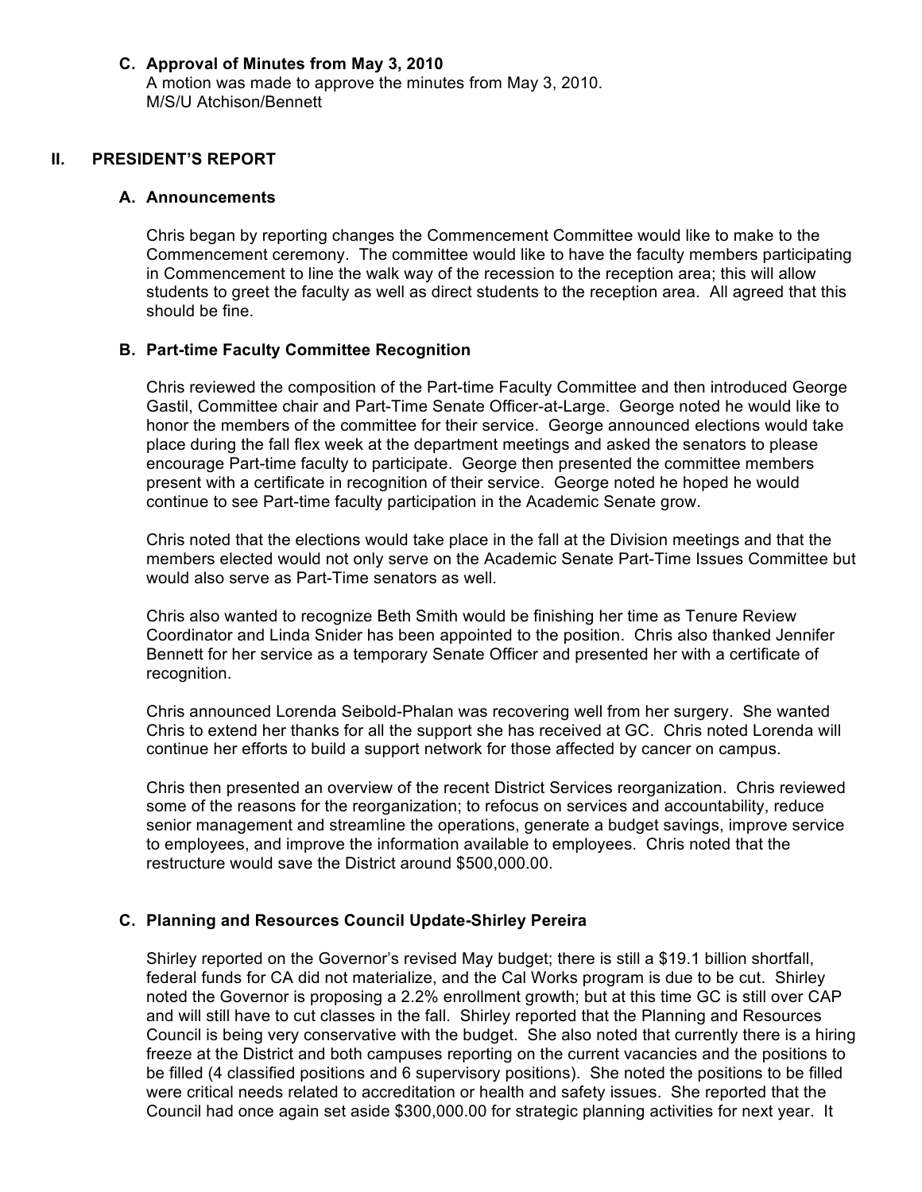## **C. Approval of Minutes from May 3, 2010**

A motion was made to approve the minutes from May 3, 2010. M/S/U Atchison/Bennett

#### **II. PRESIDENT'S REPORT**

#### **A. Announcements**

Chris began by reporting changes the Commencement Committee would like to make to the Commencement ceremony. The committee would like to have the faculty members participating in Commencement to line the walk way of the recession to the reception area; this will allow students to greet the faculty as well as direct students to the reception area. All agreed that this should be fine.

#### **B. Part-time Faculty Committee Recognition**

Chris reviewed the composition of the Part-time Faculty Committee and then introduced George Gastil, Committee chair and Part-Time Senate Officer-at-Large. George noted he would like to honor the members of the committee for their service. George announced elections would take place during the fall flex week at the department meetings and asked the senators to please encourage Part-time faculty to participate. George then presented the committee members present with a certificate in recognition of their service. George noted he hoped he would continue to see Part-time faculty participation in the Academic Senate grow.

Chris noted that the elections would take place in the fall at the Division meetings and that the members elected would not only serve on the Academic Senate Part-Time Issues Committee but would also serve as Part-Time senators as well.

Chris also wanted to recognize Beth Smith would be finishing her time as Tenure Review Coordinator and Linda Snider has been appointed to the position. Chris also thanked Jennifer Bennett for her service as a temporary Senate Officer and presented her with a certificate of recognition.

Chris announced Lorenda Seibold-Phalan was recovering well from her surgery. She wanted Chris to extend her thanks for all the support she has received at GC. Chris noted Lorenda will continue her efforts to build a support network for those affected by cancer on campus.

Chris then presented an overview of the recent District Services reorganization. Chris reviewed some of the reasons for the reorganization; to refocus on services and accountability, reduce senior management and streamline the operations, generate a budget savings, improve service to employees, and improve the information available to employees. Chris noted that the restructure would save the District around \$500,000.00.

#### **C. Planning and Resources Council Update-Shirley Pereira**

Shirley reported on the Governor's revised May budget; there is still a \$19.1 billion shortfall, federal funds for CA did not materialize, and the Cal Works program is due to be cut. Shirley noted the Governor is proposing a 2.2% enrollment growth; but at this time GC is still over CAP and will still have to cut classes in the fall. Shirley reported that the Planning and Resources Council is being very conservative with the budget. She also noted that currently there is a hiring freeze at the District and both campuses reporting on the current vacancies and the positions to be filled (4 classified positions and 6 supervisory positions). She noted the positions to be filled were critical needs related to accreditation or health and safety issues. She reported that the Council had once again set aside \$300,000.00 for strategic planning activities for next year. It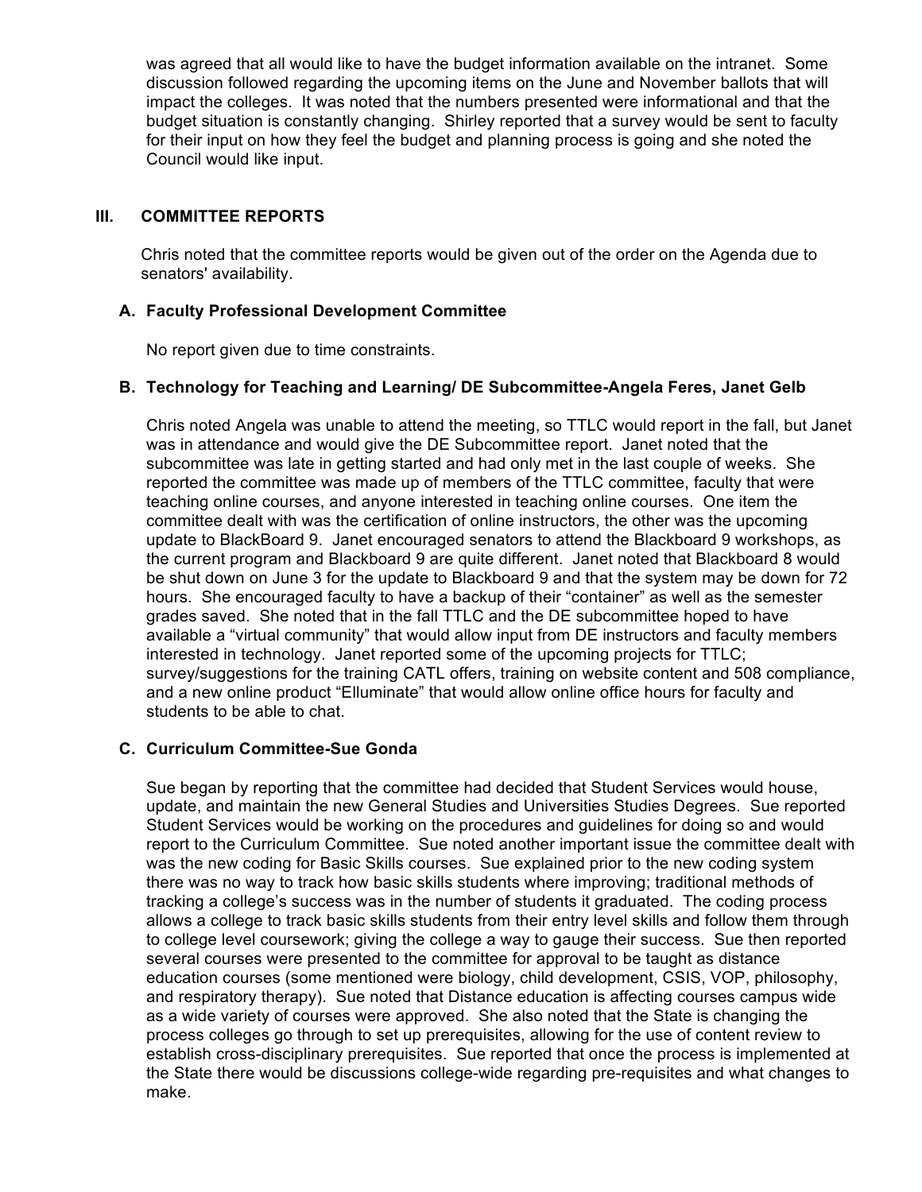was agreed that all would like to have the budget information available on the intranet. Some discussion followed regarding the upcoming items on the June and November ballots that will impact the colleges. It was noted that the numbers presented were informational and that the budget situation is constantly changing. Shirley reported that a survey would be sent to faculty for their input on how they feel the budget and planning process is going and she noted the Council would like input.

## **III. COMMITTEE REPORTS**

Chris noted that the committee reports would be given out of the order on the Agenda due to senators' availability.

## **A. Faculty Professional Development Committee**

No report given due to time constraints.

## **B. Technology for Teaching and Learning/ DE Subcommittee-Angela Feres, Janet Gelb**

Chris noted Angela was unable to attend the meeting, so TTLC would report in the fall, but Janet was in attendance and would give the DE Subcommittee report. Janet noted that the subcommittee was late in getting started and had only met in the last couple of weeks. She reported the committee was made up of members of the TTLC committee, faculty that were teaching online courses, and anyone interested in teaching online courses. One item the committee dealt with was the certification of online instructors, the other was the upcoming update to BlackBoard 9. Janet encouraged senators to attend the Blackboard 9 workshops, as the current program and Blackboard 9 are quite different. Janet noted that Blackboard 8 would be shut down on June 3 for the update to Blackboard 9 and that the system may be down for 72 hours. She encouraged faculty to have a backup of their "container" as well as the semester grades saved. She noted that in the fall TTLC and the DE subcommittee hoped to have available a "virtual community" that would allow input from DE instructors and faculty members interested in technology. Janet reported some of the upcoming projects for TTLC; survey/suggestions for the training CATL offers, training on website content and 508 compliance, and a new online product "Elluminate" that would allow online office hours for faculty and students to be able to chat.

## **C. Curriculum Committee-Sue Gonda**

Sue began by reporting that the committee had decided that Student Services would house, update, and maintain the new General Studies and Universities Studies Degrees. Sue reported Student Services would be working on the procedures and guidelines for doing so and would report to the Curriculum Committee. Sue noted another important issue the committee dealt with was the new coding for Basic Skills courses. Sue explained prior to the new coding system there was no way to track how basic skills students where improving; traditional methods of tracking a college's success was in the number of students it graduated. The coding process allows a college to track basic skills students from their entry level skills and follow them through to college level coursework; giving the college a way to gauge their success. Sue then reported several courses were presented to the committee for approval to be taught as distance education courses (some mentioned were biology, child development, CSIS, VOP, philosophy, and respiratory therapy). Sue noted that Distance education is affecting courses campus wide as a wide variety of courses were approved. She also noted that the State is changing the process colleges go through to set up prerequisites, allowing for the use of content review to establish cross-disciplinary prerequisites. Sue reported that once the process is implemented at the State there would be discussions college-wide regarding pre-requisites and what changes to make.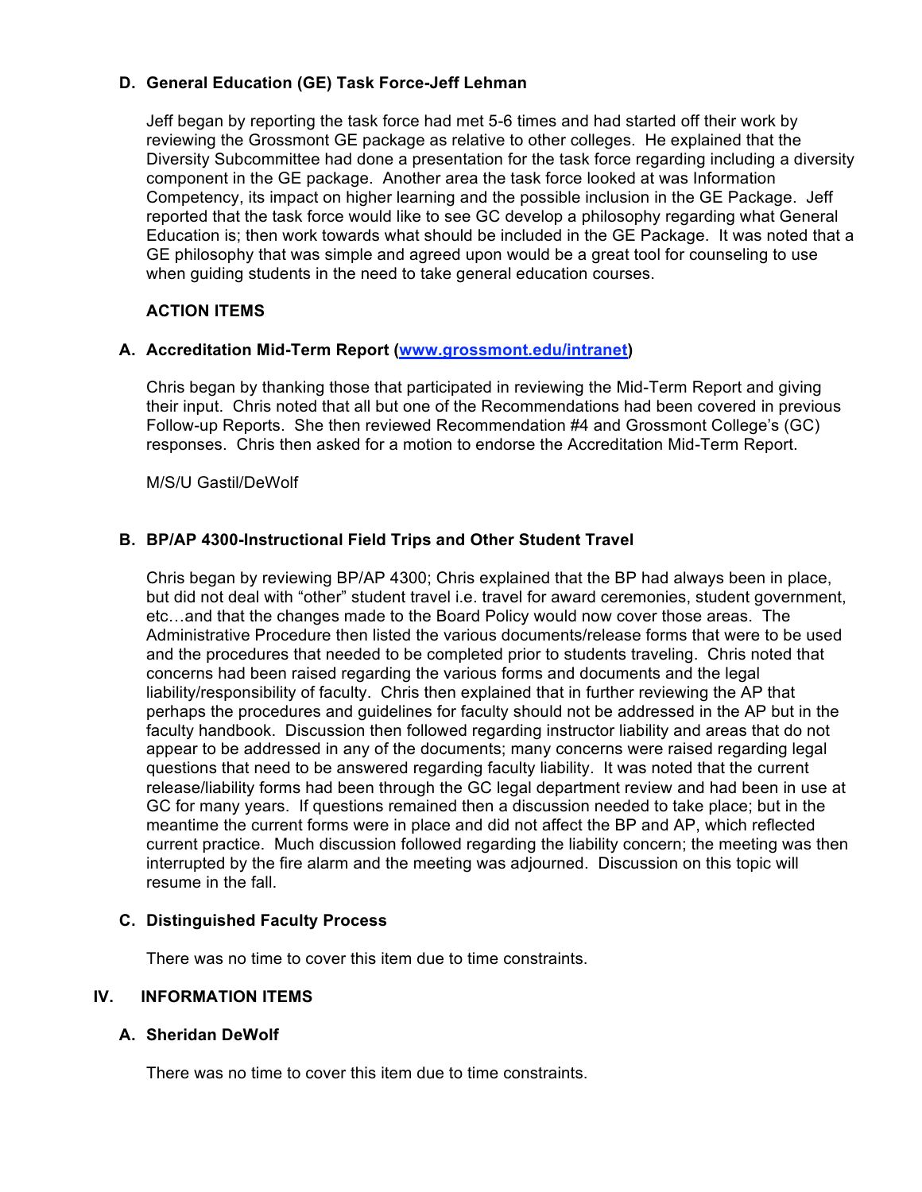## **D. General Education (GE) Task Force-Jeff Lehman**

Jeff began by reporting the task force had met 5-6 times and had started off their work by reviewing the Grossmont GE package as relative to other colleges. He explained that the Diversity Subcommittee had done a presentation for the task force regarding including a diversity component in the GE package. Another area the task force looked at was Information Competency, its impact on higher learning and the possible inclusion in the GE Package. Jeff reported that the task force would like to see GC develop a philosophy regarding what General Education is; then work towards what should be included in the GE Package. It was noted that a GE philosophy that was simple and agreed upon would be a great tool for counseling to use when guiding students in the need to take general education courses.

## **ACTION ITEMS**

## **A. Accreditation Mid-Term Report (www.grossmont.edu/intranet)**

Chris began by thanking those that participated in reviewing the Mid-Term Report and giving their input. Chris noted that all but one of the Recommendations had been covered in previous Follow-up Reports. She then reviewed Recommendation #4 and Grossmont College's (GC) responses. Chris then asked for a motion to endorse the Accreditation Mid-Term Report.

M/S/U Gastil/DeWolf

## **B. BP/AP 4300-Instructional Field Trips and Other Student Travel**

Chris began by reviewing BP/AP 4300; Chris explained that the BP had always been in place, but did not deal with "other" student travel i.e. travel for award ceremonies, student government, etc…and that the changes made to the Board Policy would now cover those areas. The Administrative Procedure then listed the various documents/release forms that were to be used and the procedures that needed to be completed prior to students traveling. Chris noted that concerns had been raised regarding the various forms and documents and the legal liability/responsibility of faculty. Chris then explained that in further reviewing the AP that perhaps the procedures and guidelines for faculty should not be addressed in the AP but in the faculty handbook. Discussion then followed regarding instructor liability and areas that do not appear to be addressed in any of the documents; many concerns were raised regarding legal questions that need to be answered regarding faculty liability. It was noted that the current release/liability forms had been through the GC legal department review and had been in use at GC for many years. If questions remained then a discussion needed to take place; but in the meantime the current forms were in place and did not affect the BP and AP, which reflected current practice. Much discussion followed regarding the liability concern; the meeting was then interrupted by the fire alarm and the meeting was adjourned. Discussion on this topic will resume in the fall.

## **C. Distinguished Faculty Process**

There was no time to cover this item due to time constraints.

## **IV. INFORMATION ITEMS**

## **A. Sheridan DeWolf**

There was no time to cover this item due to time constraints.